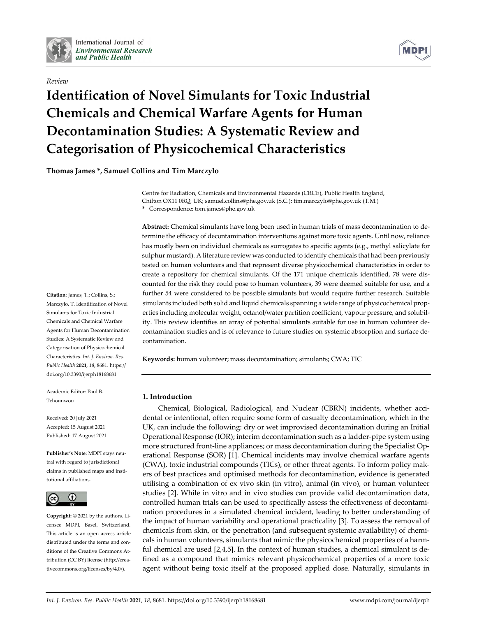

# *Review*



# **Identification of Novel Simulants for Toxic Industrial Chemicals and Chemical Warfare Agents for Human Decontamination Studies: A Systematic Review and Categorisation of Physicochemical Characteristics**

**Thomas James \*, Samuel Collins and Tim Marczylo**

Centre for Radiation, Chemicals and Environmental Hazards (CRCE), Public Health England, Chilton OX11 0RQ, UK; samuel.collins@phe.gov.uk (S.C.); tim.marczylo@phe.gov.uk (T.M.)

**\*** Correspondence: tom.james@phe.gov.uk

**Abstract:** Chemical simulants have long been used in human trials of mass decontamination to determine the efficacy of decontamination interventions against more toxic agents. Until now, reliance has mostly been on individual chemicals as surrogates to specific agents (e.g., methyl salicylate for sulphur mustard). A literature review was conducted to identify chemicals that had been previously tested on human volunteers and that represent diverse physicochemical characteristics in order to create a repository for chemical simulants. Of the 171 unique chemicals identified, 78 were discounted for the risk they could pose to human volunteers, 39 were deemed suitable for use, and a further 54 were considered to be possible simulants but would require further research. Suitable simulants included both solid and liquid chemicals spanning a wide range of physicochemical properties including molecular weight, octanol/water partition coefficient, vapour pressure, and solubility. This review identifies an array of potential simulants suitable for use in human volunteer decontamination studies and is of relevance to future studies on systemic absorption and surface decontamination.

**Keywords:** human volunteer; mass decontamination; simulants; CWA; TIC

# **1. Introduction**

Chemical, Biological, Radiological, and Nuclear (CBRN) incidents, whether accidental or intentional, often require some form of casualty decontamination, which in the UK, can include the following: dry or wet improvised decontamination during an Initial Operational Response (IOR); interim decontamination such as a ladder-pipe system using more structured front-line appliances; or mass decontamination during the Specialist Operational Response (SOR) [1]. Chemical incidents may involve chemical warfare agents (CWA), toxic industrial compounds (TICs), or other threat agents. To inform policy makers of best practices and optimised methods for decontamination, evidence is generated utilising a combination of ex vivo skin (in vitro), animal (in vivo), or human volunteer studies [2]. While in vitro and in vivo studies can provide valid decontamination data, controlled human trials can be used to specifically assess the effectiveness of decontamination procedures in a simulated chemical incident, leading to better understanding of the impact of human variability and operational practicality [3]. To assess the removal of chemicals from skin, or the penetration (and subsequent systemic availability) of chemicals in human volunteers, simulants that mimic the physicochemical properties of a harmful chemical are used [2,4,5]. In the context of human studies, a chemical simulant is defined as a compound that mimics relevant physicochemical properties of a more toxic agent without being toxic itself at the proposed applied dose. Naturally, simulants in

**Citation:** James, T.; Collins, S.; Marczylo, T. Identification of Novel Simulants for Toxic Industrial Chemicals and Chemical Warfare Agents for Human Decontamination Studies: A Systematic Review and Categorisation of Physicochemical Characteristics. *Int. J. Environ. Res. Public Health* **2021**, *18*, 8681. https:// doi.org/10.3390/ijerph18168681

Academic Editor: Paul B. Tchounwou

Received: 20 July 2021 Accepted: 15 August 2021 Published: 17 August 2021

**Publisher's Note:** MDPI stays neutral with regard to jurisdictional claims in published maps and institutional affiliations.



**Copyright:** © 2021 by the authors. Licensee MDPI, Basel, Switzerland. This article is an open access article distributed under the terms and conditions of the Creative Commons Attribution (CC BY) license (http://creativecommons.org/licenses/by/4.0/).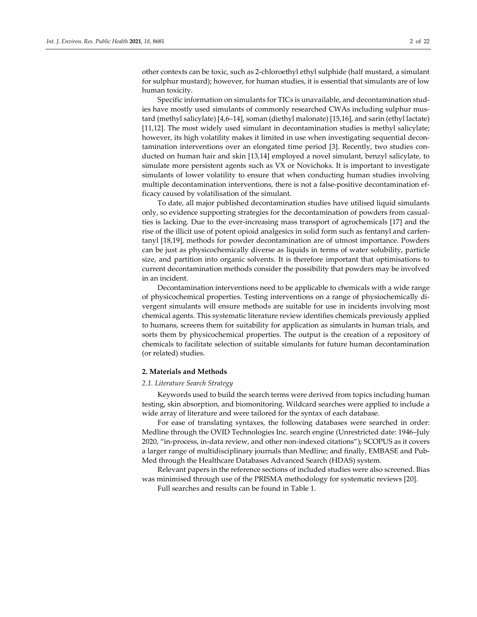other contexts can be toxic, such as 2-chloroethyl ethyl sulphide (half mustard, a simulant for sulphur mustard); however, for human studies, it is essential that simulants are of low human toxicity.

Specific information on simulants for TICs is unavailable, and decontamination studies have mostly used simulants of commonly researched CWAs including sulphur mustard (methyl salicylate) [4,6–14], soman (diethyl malonate) [15,16], and sarin (ethyl lactate) [11,12]. The most widely used simulant in decontamination studies is methyl salicylate; however, its high volatility makes it limited in use when investigating sequential decontamination interventions over an elongated time period [3]. Recently, two studies conducted on human hair and skin [13,14] employed a novel simulant, benzyl salicylate, to simulate more persistent agents such as VX or Novichoks. It is important to investigate simulants of lower volatility to ensure that when conducting human studies involving multiple decontamination interventions, there is not a false-positive decontamination efficacy caused by volatilisation of the simulant.

To date, all major published decontamination studies have utilised liquid simulants only, so evidence supporting strategies for the decontamination of powders from casualties is lacking. Due to the ever-increasing mass transport of agrochemicals [17] and the rise of the illicit use of potent opioid analgesics in solid form such as fentanyl and carfentanyl [18,19], methods for powder decontamination are of utmost importance. Powders can be just as physicochemically diverse as liquids in terms of water solubility, particle size, and partition into organic solvents. It is therefore important that optimisations to current decontamination methods consider the possibility that powders may be involved in an incident.

Decontamination interventions need to be applicable to chemicals with a wide range of physicochemical properties. Testing interventions on a range of physiochemically divergent simulants will ensure methods are suitable for use in incidents involving most chemical agents. This systematic literature review identifies chemicals previously applied to humans, screens them for suitability for application as simulants in human trials, and sorts them by physicochemical properties. The output is the creation of a repository of chemicals to facilitate selection of suitable simulants for future human decontamination (or related) studies.

# **2. Materials and Methods**

### *2.1. Literature Search Strategy*

Keywords used to build the search terms were derived from topics including human testing, skin absorption, and biomonitoring. Wildcard searches were applied to include a wide array of literature and were tailored for the syntax of each database.

For ease of translating syntaxes, the following databases were searched in order: Medline through the OVID Technologies Inc. search engine (Unrestricted date: 1946–July 2020, "in-process, in-data review, and other non-indexed citations"); SCOPUS as it covers a larger range of multidisciplinary journals than Medline; and finally, EMBASE and Pub-Med through the Healthcare Databases Advanced Search (HDAS) system.

Relevant papers in the reference sections of included studies were also screened. Bias was minimised through use of the PRISMA methodology for systematic reviews [20].

Full searches and results can be found in Table 1.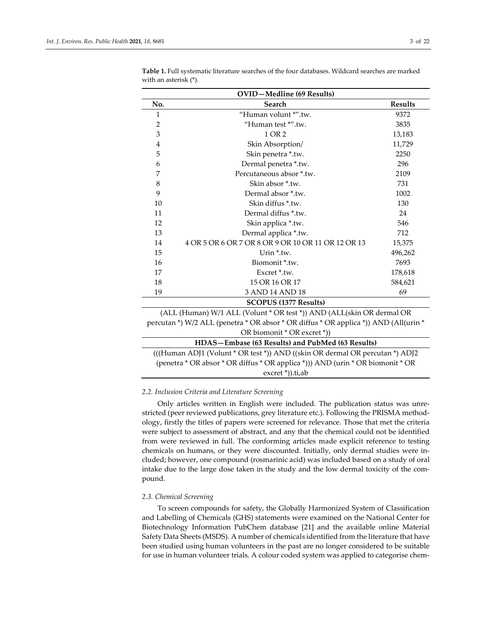| <b>OVID-Medline</b> (69 Results)                                      |                                                    |                |  |  |  |  |  |  |
|-----------------------------------------------------------------------|----------------------------------------------------|----------------|--|--|--|--|--|--|
| No.                                                                   | Search                                             | <b>Results</b> |  |  |  |  |  |  |
| $\mathbf{1}$                                                          | "Human volunt *".tw.                               | 9372           |  |  |  |  |  |  |
| $\overline{2}$                                                        | "Human test *".tw.                                 | 3835           |  |  |  |  |  |  |
| 3                                                                     | 1 OR 2                                             | 13,183         |  |  |  |  |  |  |
| $\overline{4}$                                                        | Skin Absorption/                                   | 11,729         |  |  |  |  |  |  |
| 5                                                                     | Skin penetra *.tw.                                 | 2250           |  |  |  |  |  |  |
| 6                                                                     | Dermal penetra *.tw.                               | 296            |  |  |  |  |  |  |
| 7                                                                     | Percutaneous absor *.tw.                           | 2109           |  |  |  |  |  |  |
| 8                                                                     | Skin absor *.tw.                                   | 731            |  |  |  |  |  |  |
| 9                                                                     | Dermal absor *.tw.                                 | 1002           |  |  |  |  |  |  |
| 10                                                                    | Skin diffus *.tw.                                  | 130            |  |  |  |  |  |  |
| 11                                                                    | Dermal diffus *.tw.                                | 24             |  |  |  |  |  |  |
| 12                                                                    | Skin applica *.tw.                                 | 546            |  |  |  |  |  |  |
| 13                                                                    | Dermal applica *.tw.                               | 712            |  |  |  |  |  |  |
| 14                                                                    | 4 OR 5 OR 6 OR 7 OR 8 OR 9 OR 10 OR 11 OR 12 OR 13 | 15,375         |  |  |  |  |  |  |
| 15                                                                    | Urin $*$ tw.                                       | 496,262        |  |  |  |  |  |  |
| 16                                                                    | Biomonit *.tw.                                     | 7693           |  |  |  |  |  |  |
| 17                                                                    | Excret *.tw.                                       | 178,618        |  |  |  |  |  |  |
| 18                                                                    | 15 OR 16 OR 17                                     | 584,621        |  |  |  |  |  |  |
| 19                                                                    | 3 AND 14 AND 18                                    | 69             |  |  |  |  |  |  |
| <b>SCOPUS (1377 Results)</b>                                          |                                                    |                |  |  |  |  |  |  |
| (ALL (Human) W/1 ALL (Volunt * OR test *)) AND (ALL(skin OR dermal OR |                                                    |                |  |  |  |  |  |  |

**Table 1.** Full systematic literature searches of the four databases. Wildcard searches are marked with an asterisk (\*).

| HDAS-Embase (63 Results) and PubMed (63 Results)                                     |
|--------------------------------------------------------------------------------------|
| OR biomonit * OR excret *)                                                           |
| percutan *) W/2 ALL (penetra * OR absor * OR diffus * OR applica *)) AND (All(urin * |
| (ALL (Human) W/1 ALL (Volunt * OR test *)) AND (ALL (skin OR dermal OR               |

(((Human ADJ1 (Volunt \* OR test \*)) AND ((skin OR dermal OR percutan \*) ADJ2 (penetra \* OR absor \* OR diffus \* OR applica \*))) AND (urin \* OR biomonit \* OR excret \*)).ti,ab

### *2.2. Inclusion Criteria and Literature Screening*

Only articles written in English were included. The publication status was unrestricted (peer reviewed publications, grey literature etc.). Following the PRISMA methodology, firstly the titles of papers were screened for relevance. Those that met the criteria were subject to assessment of abstract, and any that the chemical could not be identified from were reviewed in full. The conforming articles made explicit reference to testing chemicals on humans, or they were discounted. Initially, only dermal studies were included; however, one compound (rosmarinic acid) was included based on a study of oral intake due to the large dose taken in the study and the low dermal toxicity of the compound.

### *2.3. Chemical Screening*

To screen compounds for safety, the Globally Harmonized System of Classification and Labelling of Chemicals (GHS) statements were examined on the National Center for Biotechnology Information PubChem database [21] and the available online Material Safety Data Sheets (MSDS). A number of chemicals identified from the literature that have been studied using human volunteers in the past are no longer considered to be suitable for use in human volunteer trials. A colour coded system was applied to categorise chem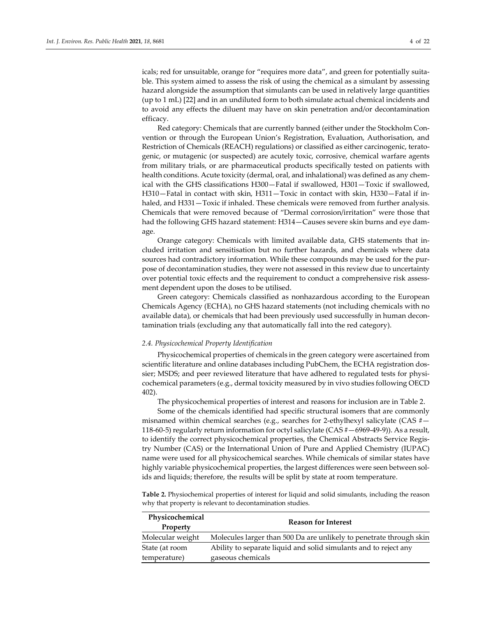icals; red for unsuitable, orange for "requires more data", and green for potentially suitable. This system aimed to assess the risk of using the chemical as a simulant by assessing hazard alongside the assumption that simulants can be used in relatively large quantities (up to 1 mL) [22] and in an undiluted form to both simulate actual chemical incidents and to avoid any effects the diluent may have on skin penetration and/or decontamination efficacy.

Red category: Chemicals that are currently banned (either under the Stockholm Convention or through the European Union's Registration, Evaluation, Authorisation, and Restriction of Chemicals (REACH) regulations) or classified as either carcinogenic, teratogenic, or mutagenic (or suspected) are acutely toxic, corrosive, chemical warfare agents from military trials, or are pharmaceutical products specifically tested on patients with health conditions. Acute toxicity (dermal, oral, and inhalational) was defined as any chemical with the GHS classifications H300—Fatal if swallowed, H301—Toxic if swallowed, H310—Fatal in contact with skin, H311—Toxic in contact with skin, H330—Fatal if inhaled, and H331—Toxic if inhaled. These chemicals were removed from further analysis. Chemicals that were removed because of "Dermal corrosion/irritation" were those that had the following GHS hazard statement: H314—Causes severe skin burns and eye damage.

Orange category: Chemicals with limited available data, GHS statements that included irritation and sensitisation but no further hazards, and chemicals where data sources had contradictory information. While these compounds may be used for the purpose of decontamination studies, they were not assessed in this review due to uncertainty over potential toxic effects and the requirement to conduct a comprehensive risk assessment dependent upon the doses to be utilised.

Green category: Chemicals classified as nonhazardous according to the European Chemicals Agency (ECHA), no GHS hazard statements (not including chemicals with no available data), or chemicals that had been previously used successfully in human decontamination trials (excluding any that automatically fall into the red category).

#### *2.4. Physicochemical Property Identification*

Physicochemical properties of chemicals in the green category were ascertained from scientific literature and online databases including PubChem, the ECHA registration dossier; MSDS; and peer reviewed literature that have adhered to regulated tests for physicochemical parameters (e.g., dermal toxicity measured by in vivo studies following OECD 402).

The physicochemical properties of interest and reasons for inclusion are in Table 2.

Some of the chemicals identified had specific structural isomers that are commonly misnamed within chemical searches (e.g., searches for 2-ethylhexyl salicylate (CAS  $#$  -118-60-5) regularly return information for octyl salicylate (CAS #—6969-49-9)). As a result, to identify the correct physicochemical properties, the Chemical Abstracts Service Registry Number (CAS) or the International Union of Pure and Applied Chemistry (IUPAC) name were used for all physicochemical searches. While chemicals of similar states have highly variable physicochemical properties, the largest differences were seen between solids and liquids; therefore, the results will be split by state at room temperature.

**Table 2.** Physiochemical properties of interest for liquid and solid simulants, including the reason why that property is relevant to decontamination studies.

| Physicochemical<br><b>Property</b> | <b>Reason for Interest</b>                                          |
|------------------------------------|---------------------------------------------------------------------|
| Molecular weight                   | Molecules larger than 500 Da are unlikely to penetrate through skin |
| State (at room                     | Ability to separate liquid and solid simulants and to reject any    |
| temperature)                       | gaseous chemicals                                                   |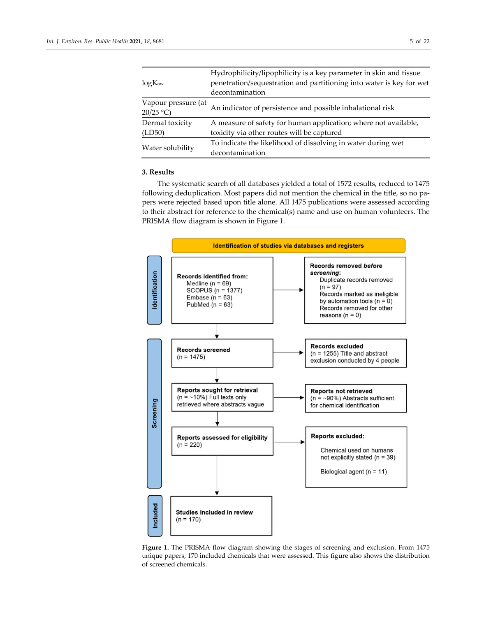|                                 | Hydrophilicity/lipophilicity is a key parameter in skin and tissue   |  |  |  |  |  |  |
|---------------------------------|----------------------------------------------------------------------|--|--|--|--|--|--|
| $log K_{\rm ow}$                | penetration/sequestration and partitioning into water is key for wet |  |  |  |  |  |  |
|                                 | decontamination                                                      |  |  |  |  |  |  |
| Vapour pressure (at<br>20/25 °C | An indicator of persistence and possible inhalational risk           |  |  |  |  |  |  |
| Dermal toxicity                 | A measure of safety for human application; where not available,      |  |  |  |  |  |  |
| (LD50)                          | toxicity via other routes will be captured                           |  |  |  |  |  |  |
|                                 | To indicate the likelihood of dissolving in water during wet         |  |  |  |  |  |  |
| Water solubility                | decontamination                                                      |  |  |  |  |  |  |

# **3. Results**

The systematic search of all databases yielded a total of 1572 results, reduced to 1475 following deduplication. Most papers did not mention the chemical in the title, so no papers were rejected based upon title alone. All 1475 publications were assessed according to their abstract for reference to the chemical(s) name and use on human volunteers. The PRISMA flow diagram is shown in Figure 1.



Figure 1. The PRISMA flow diagram showing the stages of screening and exclusion. From 1475 unique papers, 170 included chemicals that were assessed. This figure also shows the distribution of screened chemicals.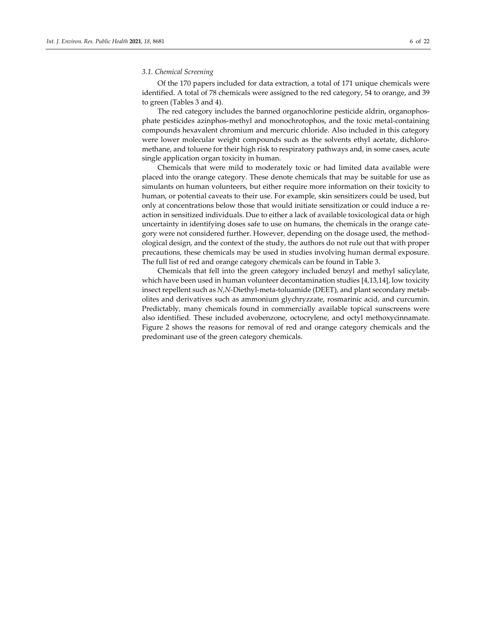## *3.1. Chemical Screening*

Of the 170 papers included for data extraction, a total of 171 unique chemicals were identified. A total of 78 chemicals were assigned to the red category, 54 to orange, and 39 to green (Tables 3 and 4).

The red category includes the banned organochlorine pesticide aldrin, organophosphate pesticides azinphos-methyl and monochrotophos, and the toxic metal-containing compounds hexavalent chromium and mercuric chloride. Also included in this category were lower molecular weight compounds such as the solvents ethyl acetate, dichloromethane, and toluene for their high risk to respiratory pathways and, in some cases, acute single application organ toxicity in human.

Chemicals that were mild to moderately toxic or had limited data available were placed into the orange category. These denote chemicals that may be suitable for use as simulants on human volunteers, but either require more information on their toxicity to human, or potential caveats to their use. For example, skin sensitizers could be used, but only at concentrations below those that would initiate sensitization or could induce a reaction in sensitized individuals. Due to either a lack of available toxicological data or high uncertainty in identifying doses safe to use on humans, the chemicals in the orange category were not considered further. However, depending on the dosage used, the methodological design, and the context of the study, the authors do not rule out that with proper precautions, these chemicals may be used in studies involving human dermal exposure. The full list of red and orange category chemicals can be found in Table 3.

Chemicals that fell into the green category included benzyl and methyl salicylate, which have been used in human volunteer decontamination studies [4,13,14], low toxicity insect repellent such as *N*,*N*-Diethyl-meta-toluamide (DEET), and plant secondary metabolites and derivatives such as ammonium glychryzzate, rosmarinic acid, and curcumin. Predictably, many chemicals found in commercially available topical sunscreens were also identified. These included avobenzone, octocrylene, and octyl methoxycinnamate. Figure 2 shows the reasons for removal of red and orange category chemicals and the predominant use of the green category chemicals.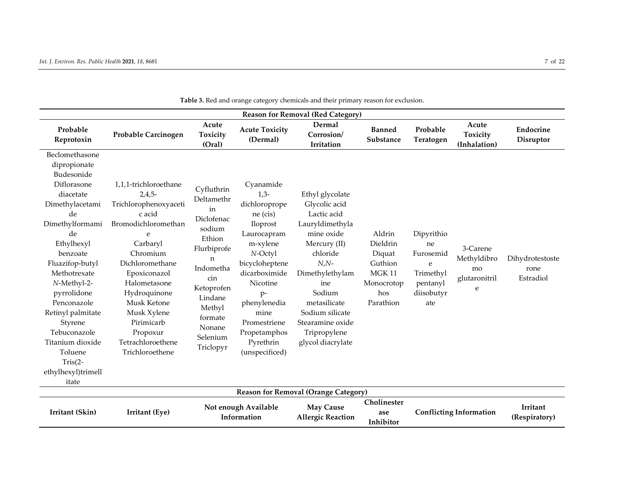| <b>Reason for Removal (Red Category)</b>                                                                                                                                                                                                                                                                                                                        |                                                                                                                                                                                                                                                                                             |                                                                                                                                                                                           |                                                                                                                                                                                                                                                |                                                                                                                                                                                                                                                         |                                                                                           |                                                                                  |                                                     |                                      |  |  |
|-----------------------------------------------------------------------------------------------------------------------------------------------------------------------------------------------------------------------------------------------------------------------------------------------------------------------------------------------------------------|---------------------------------------------------------------------------------------------------------------------------------------------------------------------------------------------------------------------------------------------------------------------------------------------|-------------------------------------------------------------------------------------------------------------------------------------------------------------------------------------------|------------------------------------------------------------------------------------------------------------------------------------------------------------------------------------------------------------------------------------------------|---------------------------------------------------------------------------------------------------------------------------------------------------------------------------------------------------------------------------------------------------------|-------------------------------------------------------------------------------------------|----------------------------------------------------------------------------------|-----------------------------------------------------|--------------------------------------|--|--|
| Probable<br>Reprotoxin                                                                                                                                                                                                                                                                                                                                          | Probable Carcinogen                                                                                                                                                                                                                                                                         | Acute<br>Toxicity<br>(Oral)                                                                                                                                                               | <b>Acute Toxicity</b><br>(Dermal)                                                                                                                                                                                                              | <b>Dermal</b><br>Corrosion/<br>Irritation                                                                                                                                                                                                               | <b>Banned</b><br>Substance                                                                | Probable<br>Teratogen                                                            | Acute<br>Toxicity<br>(Inhalation)                   | Endocrine<br>Disruptor               |  |  |
| Beclomethasone<br>dipropionate<br>Budesonide<br>Diflorasone<br>diacetate<br>Dimethylacetami<br>de<br>Dimethylformami<br>de<br>Ethylhexyl<br>benzoate<br>Fluazifop-butyl<br>Methotrexate<br>N-Methyl-2-<br>pyrrolidone<br>Penconazole<br>Retinyl palmitate<br>Styrene<br>Tebuconazole<br>Titanium dioxide<br>Toluene<br>$Tris(2-$<br>ethylhexyl)trimell<br>itate | 1,1,1-trichloroethane<br>$2,4,5-$<br>Trichlorophenoxyaceti<br>c acid<br>Bromodichloromethan<br>e<br>Carbaryl<br>Chromium<br>Dichloromethane<br>Epoxiconazol<br>Halometasone<br>Hydroquinone<br>Musk Ketone<br>Musk Xylene<br>Pirimicarb<br>Propoxur<br>Tetrachloroethene<br>Trichloroethene | Cyfluthrin<br>Deltamethr<br>in<br>Diclofenac<br>sodium<br>Ethion<br>Flurbiprofe<br>n<br>Indometha<br>cin<br>Ketoprofen<br>Lindane<br>Methyl<br>formate<br>Nonane<br>Selenium<br>Triclopyr | Cyanamide<br>$1,3-$<br>dichloroprope<br>ne (cis)<br>Iloprost<br>Laurocapram<br>m-xylene<br>N-Octyl<br>bicycloheptene<br>dicarboximide<br>Nicotine<br>p-<br>phenylenedia<br>mine<br>Promestriene<br>Propetamphos<br>Pyrethrin<br>(unspecificed) | Ethyl glycolate<br>Glycolic acid<br>Lactic acid<br>Lauryldimethyla<br>mine oxide<br>Mercury (II)<br>chloride<br>$N, N-$<br>Dimethylethylam<br>ine<br>Sodium<br>metasilicate<br>Sodium silicate<br>Stearamine oxide<br>Tripropylene<br>glycol diacrylate | Aldrin<br>Dieldrin<br>Diquat<br>Guthion<br><b>MGK11</b><br>Monocrotop<br>hos<br>Parathion | Dipyrithio<br>ne<br>Furosemid<br>e<br>Trimethyl<br>pentanyl<br>diisobutyr<br>ate | 3-Carene<br>Methyldibro<br>mo<br>glutaronitril<br>e | Dihydrotestoste<br>rone<br>Estradiol |  |  |
|                                                                                                                                                                                                                                                                                                                                                                 |                                                                                                                                                                                                                                                                                             |                                                                                                                                                                                           |                                                                                                                                                                                                                                                | <b>Reason for Removal (Orange Category)</b>                                                                                                                                                                                                             |                                                                                           |                                                                                  |                                                     |                                      |  |  |
| Irritant (Skin)                                                                                                                                                                                                                                                                                                                                                 | Irritant (Eye)                                                                                                                                                                                                                                                                              |                                                                                                                                                                                           | Not enough Available<br>Information                                                                                                                                                                                                            | <b>May Cause</b><br><b>Allergic Reaction</b>                                                                                                                                                                                                            | Cholinester<br>ase<br>Inhibitor                                                           | <b>Conflicting Information</b>                                                   |                                                     | Irritant<br>(Respiratory)            |  |  |

**Table 3.** Red and orange category chemicals and their primary reason for exclusion.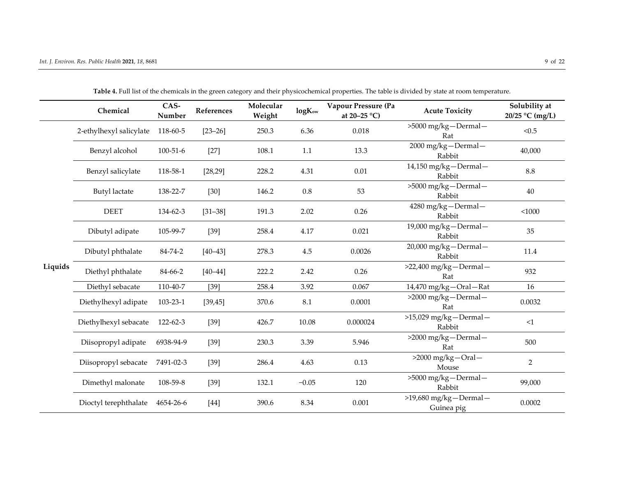|         | Chemical                | CAS-<br>Number | References  | Molecular<br>Weight | <b>logKow</b> | <b>Vapour Pressure (Pa</b><br>at 20-25 $^{\circ}$ C) | <b>Acute Toxicity</b>                    | Solubility at<br>20/25 °C (mg/L) |
|---------|-------------------------|----------------|-------------|---------------------|---------------|------------------------------------------------------|------------------------------------------|----------------------------------|
|         | 2-ethylhexyl salicylate | 118-60-5       | $[23 - 26]$ | 250.3               | 6.36          | 0.018                                                | >5000 mg/kg-Dermal-<br>Rat               | < 0.5                            |
|         | Benzyl alcohol          | $100 - 51 - 6$ | $[27]$      | 108.1               | 1.1           | 13.3                                                 | 2000 mg/kg-Dermal-<br>Rabbit             | 40,000                           |
|         | Benzyl salicylate       | 118-58-1       | [28, 29]    | 228.2               | 4.31          | 0.01                                                 | 14,150 mg/kg-Dermal-<br>Rabbit           | 8.8                              |
|         | <b>Butyl</b> lactate    | 138-22-7       | $[30]$      | 146.2               | 0.8           | 53                                                   | >5000 mg/kg-Dermal-<br>Rabbit            | 40                               |
|         | <b>DEET</b>             | 134-62-3       | $[31 - 38]$ | 191.3               | 2.02          | 0.26                                                 | 4280 mg/kg-Dermal-<br>Rabbit             | $<$ 1000                         |
|         | Dibutyl adipate         | 105-99-7       | $[39]$      | 258.4               | 4.17          | 0.021                                                | 19,000 mg/kg-Dermal-<br>Rabbit           | 35                               |
|         | Dibutyl phthalate       | 84-74-2        | $[40 - 43]$ | 278.3               | 4.5           | 0.0026                                               | 20,000 mg/kg-Dermal-<br>Rabbit           | 11.4                             |
| Liquids | Diethyl phthalate       | 84-66-2        | $[40 - 44]$ | 222.2               | 2.42          | 0.26                                                 | >22,400 mg/kg-Dermal-<br>Rat             | 932                              |
|         | Diethyl sebacate        | 110-40-7       | $[39]$      | 258.4               | 3.92          | 0.067                                                | 14,470 mg/kg-Oral-Rat                    | 16                               |
|         | Diethylhexyl adipate    | 103-23-1       | [39, 45]    | 370.6               | 8.1           | 0.0001                                               | >2000 mg/kg-Dermal-<br>Rat               | 0.0032                           |
|         | Diethylhexyl sebacate   | $122 - 62 - 3$ | $[39]$      | 426.7               | 10.08         | 0.000024                                             | $>15,029$ mg/kg - Dermal -<br>Rabbit     | <1                               |
|         | Diisopropyl adipate     | 6938-94-9      | $[39]$      | 230.3               | 3.39          | 5.946                                                | $>2000$ mg/kg-Dermal-<br>Rat             | 500                              |
|         | Diisopropyl sebacate    | 7491-02-3      | $[39]$      | 286.4               | 4.63          | 0.13                                                 | $>2000$ mg/kg-Oral-<br>Mouse             | $\overline{2}$                   |
|         | Dimethyl malonate       | 108-59-8       | $[39]$      | 132.1               | $-0.05$       | 120                                                  | >5000 mg/kg-Dermal-<br>Rabbit            | 99,000                           |
|         | Dioctyl terephthalate   | 4654-26-6      | $[44]$      | 390.6               | 8.34          | 0.001                                                | $>19,680$ mg/kg - Dermal -<br>Guinea pig | 0.0002                           |

**Table 4.** Full list of the chemicals in the green category and their physicochemical properties. The table is divided by state at room temperature.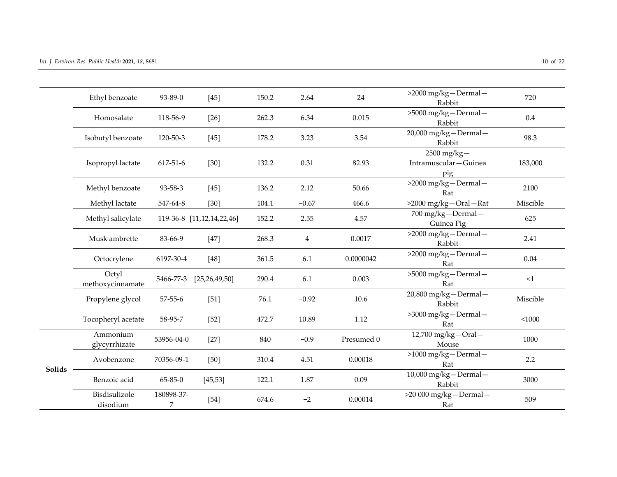|        | Ethyl benzoate            | 93-89-0         | $[45]$                    | 150.2 | 2.64           | 24         | $>2000$ mg/kg-Dermal-                           | 720      |
|--------|---------------------------|-----------------|---------------------------|-------|----------------|------------|-------------------------------------------------|----------|
|        |                           |                 |                           |       |                |            | Rabbit                                          |          |
|        | Homosalate                | 118-56-9        | $[26]$                    | 262.3 | 6.34           | 0.015      | >5000 mg/kg-Dermal-<br>Rabbit                   | 0.4      |
|        | Isobutyl benzoate         | 120-50-3        | $[45]$                    | 178.2 | 3.23           | 3.54       | 20,000 mg/kg-Dermal-<br>Rabbit                  | 98.3     |
|        | Isopropyl lactate         | 617-51-6        | $[30]$                    | 132.2 | 0.31           | 82.93      | $2500$ mg/kg $-$<br>Intramuscular-Guinea<br>pig | 183,000  |
|        | Methyl benzoate           | 93-58-3         | $[45]$                    | 136.2 | 2.12           | 50.66      | >2000 mg/kg-Dermal-<br>Rat                      | 2100     |
|        | Methyl lactate            | 547-64-8        | $[30]$                    | 104.1 | $-0.67$        | 466.6      | >2000 mg/kg-Oral-Rat                            | Miscible |
|        | Methyl salicylate         |                 | 119-36-8 [11,12,14,22,46] | 152.2 | 2.55           | 4.57       | 700 mg/kg-Dermal-<br>Guinea Pig                 | 625      |
|        | Musk ambrette             | 83-66-9         | $[47]$                    | 268.3 | $\overline{4}$ | 0.0017     | $>2000$ mg/kg-Dermal-<br>Rabbit                 | 2.41     |
|        | Octocrylene               | 6197-30-4       | $[48]$                    | 361.5 | 6.1            | 0.0000042  | $>2000$ mg/kg-Dermal-<br>Rat                    | 0.04     |
|        | Octyl<br>methoxycinnamate | 5466-77-3       | [25, 26, 49, 50]          | 290.4 | 6.1            | 0.003      | >5000 mg/kg-Dermal-<br>Rat                      | <1       |
|        | Propylene glycol          | $57 - 55 - 6$   | $[51]$                    | 76.1  | $-0.92$        | 10.6       | 20,800 mg/kg-Dermal-<br>Rabbit                  | Miscible |
|        | Tocopheryl acetate        | 58-95-7         | $[52]$                    | 472.7 | 10.89          | 1.12       | >3000 mg/kg-Dermal-<br>Rat                      | < 1000   |
|        | Ammonium<br>glycyrrhizate | 53956-04-0      | $[27]$                    | 840   | $-0.9$         | Presumed 0 | 12,700 mg/kg-Oral-<br>Mouse                     | 1000     |
| Solids | Avobenzone                | 70356-09-1      | $[50]$                    | 310.4 | 4.51           | 0.00018    | $>1000$ mg/kg-Dermal-<br>Rat                    | 2.2      |
|        | Benzoic acid              | $65 - 85 - 0$   | [45, 53]                  | 122.1 | 1.87           | 0.09       | 10,000 mg/kg-Dermal-<br>Rabbit                  | 3000     |
|        | Bisdisulizole<br>disodium | 180898-37-<br>7 | $[54]$                    | 674.6 | $-2$           | 0.00014    | >20 000 mg/kg-Dermal-<br>Rat                    | 509      |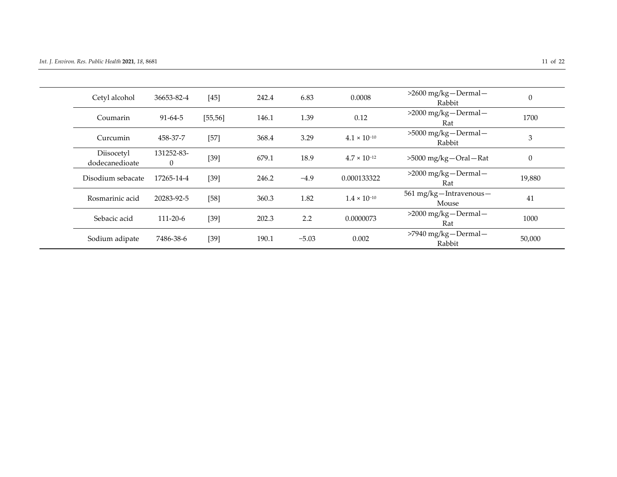| Cetyl alcohol                | 36653-82-4             | $[45]$   | 242.4 | 6.83    | 0.0008                | $>2600$ mg/kg-Dermal-<br>Rabbit | $\boldsymbol{0}$ |
|------------------------------|------------------------|----------|-------|---------|-----------------------|---------------------------------|------------------|
| Coumarin                     | $91 - 64 - 5$          | [55, 56] | 146.1 | 1.39    | 0.12                  | $>2000$ mg/kg-Dermal-<br>Rat    | 1700             |
| Curcumin                     | 458-37-7               | $[57]$   | 368.4 | 3.29    | $4.1 \times 10^{-10}$ | >5000 mg/kg-Dermal-<br>Rabbit   | 3                |
| Diisocetyl<br>dodecanedioate | 131252-83-<br>$\theta$ | $[39]$   | 679.1 | 18.9    | $4.7 \times 10^{-12}$ | >5000 mg/kg-Oral-Rat            | $\boldsymbol{0}$ |
| Disodium sebacate            | 17265-14-4             | $[39]$   | 246.2 | $-4.9$  | 0.000133322           | $>2000$ mg/kg-Dermal-<br>Rat    | 19,880           |
| Rosmarinic acid              | 20283-92-5             | $[58]$   | 360.3 | 1.82    | $1.4 \times 10^{-10}$ | 561 mg/kg-Intravenous-<br>Mouse | 41               |
| Sebacic acid                 | $111 - 20 - 6$         | $[39]$   | 202.3 | 2.2     | 0.0000073             | $>2000$ mg/kg-Dermal-<br>Rat    | 1000             |
| Sodium adipate               | 7486-38-6              | $[39]$   | 190.1 | $-5.03$ | 0.002                 | >7940 mg/kg-Dermal-<br>Rabbit   | 50,000           |
|                              |                        |          |       |         |                       |                                 |                  |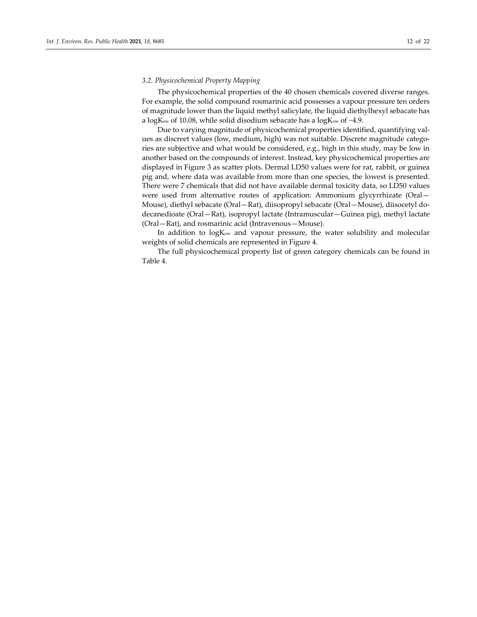# *3.2. Physicochemical Property Mapping*

The physicochemical properties of the 40 chosen chemicals covered diverse ranges. For example, the solid compound rosmarinic acid possesses a vapour pressure ten orders of magnitude lower than the liquid methyl salicylate, the liquid diethylhexyl sebacate has a logKow of 10.08, while solid disodium sebacate has a logKow of −4.9.

Due to varying magnitude of physicochemical properties identified, quantifying values as discreet values (low, medium, high) was not suitable. Discrete magnitude categories are subjective and what would be considered, e.g., high in this study, may be low in another based on the compounds of interest. Instead, key physicochemical properties are displayed in Figure 3 as scatter plots. Dermal LD50 values were for rat, rabbit, or guinea pig and, where data was available from more than one species, the lowest is presented. There were 7 chemicals that did not have available dermal toxicity data, so LD50 values were used from alternative routes of application: Ammonium glycyrrhizate (Oral— Mouse), diethyl sebacate (Oral—Rat), diisopropyl sebacate (Oral—Mouse), diisocetyl dodecanedioate (Oral—Rat), isopropyl lactate (Intramuscular—Guinea pig), methyl lactate (Oral—Rat), and rosmarinic acid (Intravenous—Mouse).

In addition to logKow and vapour pressure, the water solubility and molecular weights of solid chemicals are represented in Figure 4.

The full physicochemical property list of green category chemicals can be found in Table 4.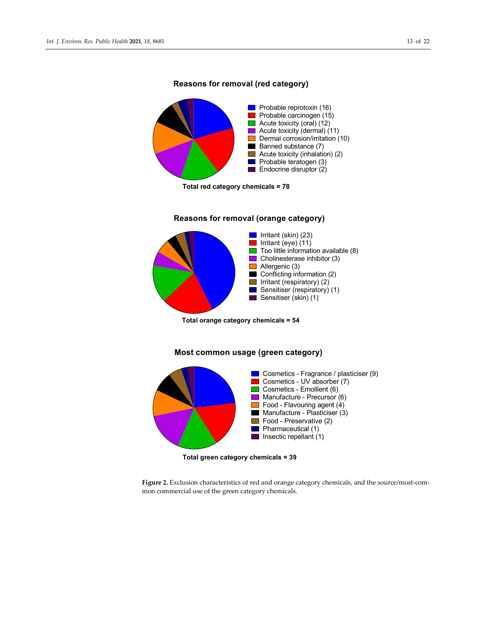

## **Reasons for removal (red category)**

**Total red category chemicals = 78**



# **Reasons for removal (orange category)**

**Total orange category chemicals = 54**

# **Most common usage (green category)**



**Total green category chemicals = 39**

**Figure 2.** Exclusion characteristics of red and orange category chemicals, and the source/most-common commercial use of the green category chemicals.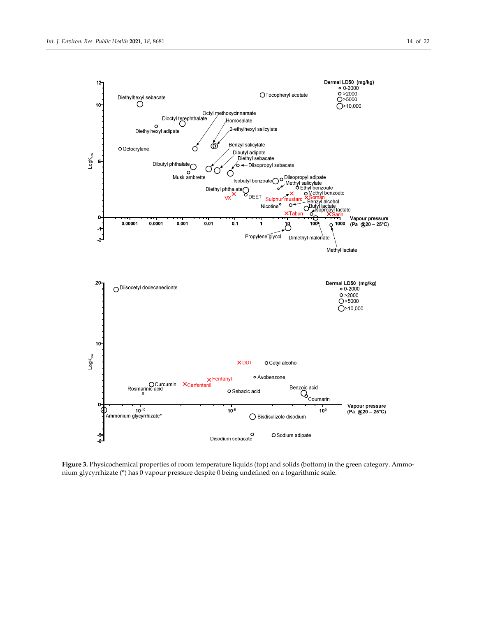

**Figure 3.** Physicochemical properties of room temperature liquids (top) and solids (bottom) in the green category. Ammonium glycyrrhizate (\*) has 0 vapour pressure despite 0 being undefined on a logarithmic scale.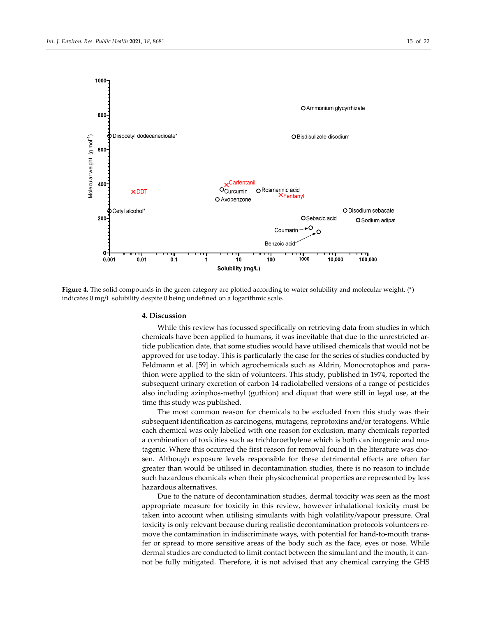

**Figure 4.** The solid compounds in the green category are plotted according to water solubility and molecular weight. (\*) indicates 0 mg/L solubility despite 0 being undefined on a logarithmic scale.

#### **4. Discussion**

While this review has focussed specifically on retrieving data from studies in which chemicals have been applied to humans, it was inevitable that due to the unrestricted article publication date, that some studies would have utilised chemicals that would not be approved for use today. This is particularly the case for the series of studies conducted by Feldmann et al. [59] in which agrochemicals such as Aldrin, Monocrotophos and parathion were applied to the skin of volunteers. This study, published in 1974, reported the subsequent urinary excretion of carbon 14 radiolabelled versions of a range of pesticides also including azinphos-methyl (guthion) and diquat that were still in legal use, at the time this study was published.

The most common reason for chemicals to be excluded from this study was their subsequent identification as carcinogens, mutagens, reprotoxins and/or teratogens. While each chemical was only labelled with one reason for exclusion, many chemicals reported a combination of toxicities such as trichloroethylene which is both carcinogenic and mutagenic. Where this occurred the first reason for removal found in the literature was chosen. Although exposure levels responsible for these detrimental effects are often far greater than would be utilised in decontamination studies, there is no reason to include such hazardous chemicals when their physicochemical properties are represented by less hazardous alternatives.

Due to the nature of decontamination studies, dermal toxicity was seen as the most appropriate measure for toxicity in this review, however inhalational toxicity must be taken into account when utilising simulants with high volatility/vapour pressure. Oral toxicity is only relevant because during realistic decontamination protocols volunteers remove the contamination in indiscriminate ways, with potential for hand-to-mouth transfer or spread to more sensitive areas of the body such as the face, eyes or nose. While dermal studies are conducted to limit contact between the simulant and the mouth, it cannot be fully mitigated. Therefore, it is not advised that any chemical carrying the GHS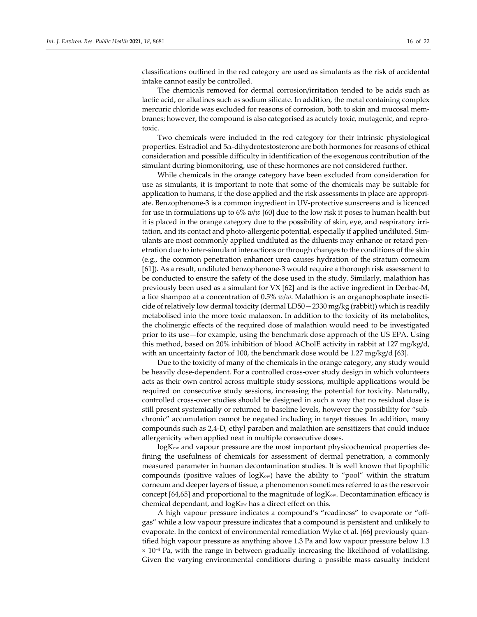classifications outlined in the red category are used as simulants as the risk of accidental intake cannot easily be controlled.

The chemicals removed for dermal corrosion/irritation tended to be acids such as lactic acid, or alkalines such as sodium silicate. In addition, the metal containing complex mercuric chloride was excluded for reasons of corrosion, both to skin and mucosal membranes; however, the compound is also categorised as acutely toxic, mutagenic, and reprotoxic.

Two chemicals were included in the red category for their intrinsic physiological properties. Estradiol and 5α-dihydrotestosterone are both hormones for reasons of ethical consideration and possible difficulty in identification of the exogenous contribution of the simulant during biomonitoring, use of these hormones are not considered further.

While chemicals in the orange category have been excluded from consideration for use as simulants, it is important to note that some of the chemicals may be suitable for application to humans, if the dose applied and the risk assessments in place are appropriate. Benzophenone-3 is a common ingredient in UV-protective sunscreens and is licenced for use in formulations up to 6% *w*/*w* [60] due to the low risk it poses to human health but it is placed in the orange category due to the possibility of skin, eye, and respiratory irritation, and its contact and photo-allergenic potential, especially if applied undiluted. Simulants are most commonly applied undiluted as the diluents may enhance or retard penetration due to inter-simulant interactions or through changes to the conditions of the skin (e.g., the common penetration enhancer urea causes hydration of the stratum corneum [61]). As a result, undiluted benzophenone-3 would require a thorough risk assessment to be conducted to ensure the safety of the dose used in the study. Similarly, malathion has previously been used as a simulant for VX [62] and is the active ingredient in Derbac-M, a lice shampoo at a concentration of 0.5% *w*/*w*. Malathion is an organophosphate insecticide of relatively low dermal toxicity (dermal LD50—2330 mg/kg (rabbit)) which is readily metabolised into the more toxic malaoxon. In addition to the toxicity of its metabolites, the cholinergic effects of the required dose of malathion would need to be investigated prior to its use—for example, using the benchmark dose approach of the US EPA. Using this method, based on 20% inhibition of blood ACholE activity in rabbit at 127 mg/kg/d, with an uncertainty factor of 100, the benchmark dose would be 1.27 mg/kg/d [63].

Due to the toxicity of many of the chemicals in the orange category, any study would be heavily dose-dependent. For a controlled cross-over study design in which volunteers acts as their own control across multiple study sessions, multiple applications would be required on consecutive study sessions, increasing the potential for toxicity. Naturally, controlled cross-over studies should be designed in such a way that no residual dose is still present systemically or returned to baseline levels, however the possibility for "subchronic" accumulation cannot be negated including in target tissues. In addition, many compounds such as 2,4-D, ethyl paraben and malathion are sensitizers that could induce allergenicity when applied neat in multiple consecutive doses.

logK<sub>ow</sub> and vapour pressure are the most important physicochemical properties defining the usefulness of chemicals for assessment of dermal penetration, a commonly measured parameter in human decontamination studies. It is well known that lipophilic compounds (positive values of logKow) have the ability to "pool" within the stratum corneum and deeper layers of tissue, a phenomenon sometimes referred to as the reservoir concept  $[64,65]$  and proportional to the magnitude of  $log K_{ow}$ . Decontamination efficacy is chemical dependant, and logKow has a direct effect on this.

A high vapour pressure indicates a compound's "readiness" to evaporate or "offgas" while a low vapour pressure indicates that a compound is persistent and unlikely to evaporate. In the context of environmental remediation Wyke et al. [66] previously quantified high vapour pressure as anything above 1.3 Pa and low vapour pressure below 1.3 × 10−4 Pa, with the range in between gradually increasing the likelihood of volatilising. Given the varying environmental conditions during a possible mass casualty incident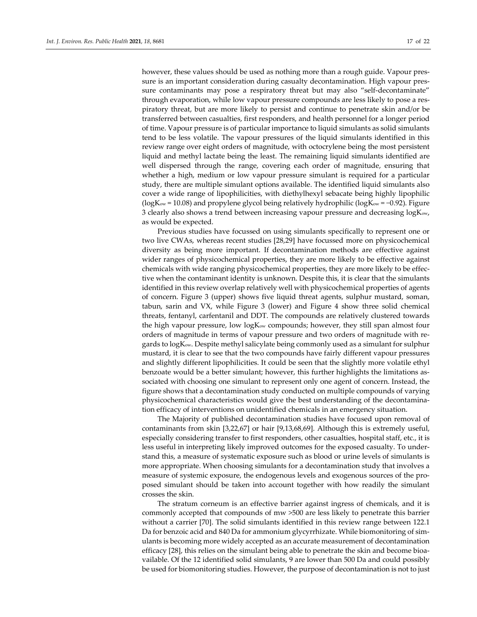however, these values should be used as nothing more than a rough guide. Vapour pressure is an important consideration during casualty decontamination. High vapour pressure contaminants may pose a respiratory threat but may also "self-decontaminate" through evaporation, while low vapour pressure compounds are less likely to pose a respiratory threat, but are more likely to persist and continue to penetrate skin and/or be transferred between casualties, first responders, and health personnel for a longer period of time. Vapour pressure is of particular importance to liquid simulants as solid simulants tend to be less volatile. The vapour pressures of the liquid simulants identified in this review range over eight orders of magnitude, with octocrylene being the most persistent liquid and methyl lactate being the least. The remaining liquid simulants identified are well dispersed through the range, covering each order of magnitude, ensuring that whether a high, medium or low vapour pressure simulant is required for a particular study, there are multiple simulant options available. The identified liquid simulants also cover a wide range of lipophilicities, with diethylhexyl sebacate being highly lipophilic (logKow = 10.08) and propylene glycol being relatively hydrophilic (logKow = −0.92). Figure 3 clearly also shows a trend between increasing vapour pressure and decreasing logKow, as would be expected.

Previous studies have focussed on using simulants specifically to represent one or two live CWAs, whereas recent studies [28,29] have focussed more on physicochemical diversity as being more important. If decontamination methods are effective against wider ranges of physicochemical properties, they are more likely to be effective against chemicals with wide ranging physicochemical properties, they are more likely to be effective when the contaminant identity is unknown. Despite this, it is clear that the simulants identified in this review overlap relatively well with physicochemical properties of agents of concern. Figure 3 (upper) shows five liquid threat agents, sulphur mustard, soman, tabun, sarin and VX, while Figure 3 (lower) and Figure 4 show three solid chemical threats, fentanyl, carfentanil and DDT. The compounds are relatively clustered towards the high vapour pressure, low log $K_{ow}$  compounds; however, they still span almost four orders of magnitude in terms of vapour pressure and two orders of magnitude with regards to logKow. Despite methyl salicylate being commonly used as a simulant for sulphur mustard, it is clear to see that the two compounds have fairly different vapour pressures and slightly different lipophilicities. It could be seen that the slightly more volatile ethyl benzoate would be a better simulant; however, this further highlights the limitations associated with choosing one simulant to represent only one agent of concern. Instead, the figure shows that a decontamination study conducted on multiple compounds of varying physicochemical characteristics would give the best understanding of the decontamination efficacy of interventions on unidentified chemicals in an emergency situation.

The Majority of published decontamination studies have focused upon removal of contaminants from skin [3,22,67] or hair [9,13,68,69]. Although this is extremely useful, especially considering transfer to first responders, other casualties, hospital staff, etc., it is less useful in interpreting likely improved outcomes for the exposed casualty. To understand this, a measure of systematic exposure such as blood or urine levels of simulants is more appropriate. When choosing simulants for a decontamination study that involves a measure of systemic exposure, the endogenous levels and exogenous sources of the proposed simulant should be taken into account together with how readily the simulant crosses the skin.

The stratum corneum is an effective barrier against ingress of chemicals, and it is commonly accepted that compounds of mw >500 are less likely to penetrate this barrier without a carrier [70]. The solid simulants identified in this review range between 122.1 Da for benzoic acid and 840 Da for ammonium glycyrrhizate. While biomonitoring of simulants is becoming more widely accepted as an accurate measurement of decontamination efficacy [28], this relies on the simulant being able to penetrate the skin and become bioavailable. Of the 12 identified solid simulants, 9 are lower than 500 Da and could possibly be used for biomonitoring studies. However, the purpose of decontamination is not to just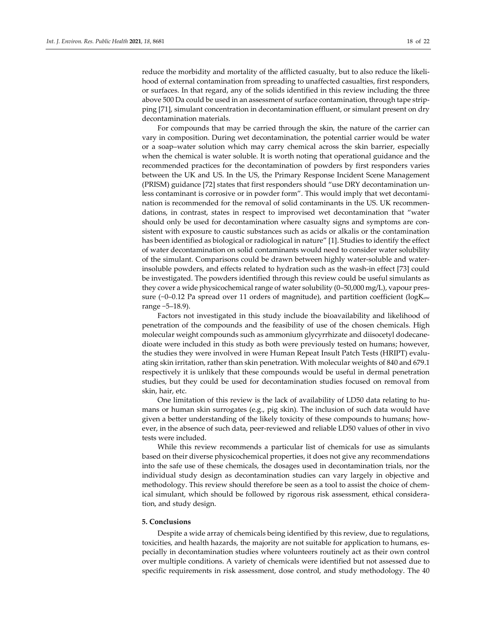reduce the morbidity and mortality of the afflicted casualty, but to also reduce the likelihood of external contamination from spreading to unaffected casualties, first responders, or surfaces. In that regard, any of the solids identified in this review including the three above 500 Da could be used in an assessment of surface contamination, through tape stripping [71], simulant concentration in decontamination effluent, or simulant present on dry decontamination materials.

For compounds that may be carried through the skin, the nature of the carrier can vary in composition. During wet decontamination, the potential carrier would be water or a soap–water solution which may carry chemical across the skin barrier, especially when the chemical is water soluble. It is worth noting that operational guidance and the recommended practices for the decontamination of powders by first responders varies between the UK and US. In the US, the Primary Response Incident Scene Management (PRISM) guidance [72] states that first responders should "use DRY decontamination unless contaminant is corrosive or in powder form". This would imply that wet decontamination is recommended for the removal of solid contaminants in the US. UK recommendations, in contrast, states in respect to improvised wet decontamination that "water should only be used for decontamination where casualty signs and symptoms are consistent with exposure to caustic substances such as acids or alkalis or the contamination has been identified as biological or radiological in nature" [1]. Studies to identify the effect of water decontamination on solid contaminants would need to consider water solubility of the simulant. Comparisons could be drawn between highly water-soluble and waterinsoluble powders, and effects related to hydration such as the wash-in effect [73] could be investigated. The powders identified through this review could be useful simulants as they cover a wide physicochemical range of water solubility (0–50,000 mg/L), vapour pressure ( $\sim$ 0–0.12 Pa spread over 11 orders of magnitude), and partition coefficient ( $\log K_{ow}$ range −5–18.9).

Factors not investigated in this study include the bioavailability and likelihood of penetration of the compounds and the feasibility of use of the chosen chemicals. High molecular weight compounds such as ammonium glycyrrhizate and diisocetyl dodecanedioate were included in this study as both were previously tested on humans; however, the studies they were involved in were Human Repeat Insult Patch Tests (HRIPT) evaluating skin irritation, rather than skin penetration. With molecular weights of 840 and 679.1 respectively it is unlikely that these compounds would be useful in dermal penetration studies, but they could be used for decontamination studies focused on removal from skin, hair, etc.

One limitation of this review is the lack of availability of LD50 data relating to humans or human skin surrogates (e.g., pig skin). The inclusion of such data would have given a better understanding of the likely toxicity of these compounds to humans; however, in the absence of such data, peer-reviewed and reliable LD50 values of other in vivo tests were included.

While this review recommends a particular list of chemicals for use as simulants based on their diverse physicochemical properties, it does not give any recommendations into the safe use of these chemicals, the dosages used in decontamination trials, nor the individual study design as decontamination studies can vary largely in objective and methodology. This review should therefore be seen as a tool to assist the choice of chemical simulant, which should be followed by rigorous risk assessment, ethical consideration, and study design.

#### **5. Conclusions**

Despite a wide array of chemicals being identified by this review, due to regulations, toxicities, and health hazards, the majority are not suitable for application to humans, especially in decontamination studies where volunteers routinely act as their own control over multiple conditions. A variety of chemicals were identified but not assessed due to specific requirements in risk assessment, dose control, and study methodology. The 40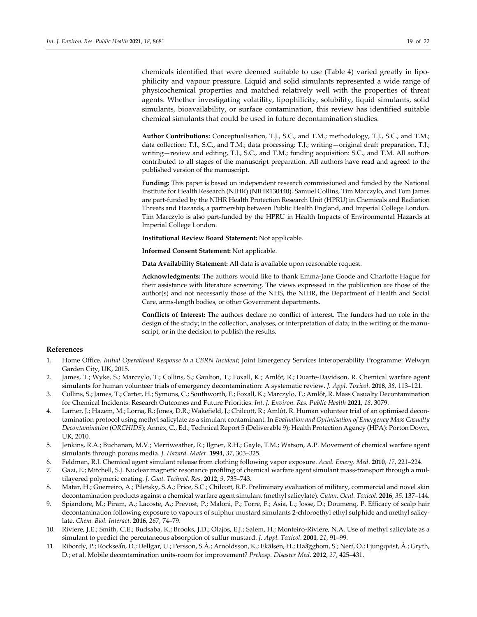chemicals identified that were deemed suitable to use (Table 4) varied greatly in lipophilicity and vapour pressure. Liquid and solid simulants represented a wide range of physicochemical properties and matched relatively well with the properties of threat agents. Whether investigating volatility, lipophilicity, solubility, liquid simulants, solid simulants, bioavailability, or surface contamination, this review has identified suitable chemical simulants that could be used in future decontamination studies.

**Author Contributions:** Conceptualisation, T.J., S.C., and T.M.; methodology, T.J., S.C., and T.M.; data collection: T.J., S.C., and T.M.; data processing: T.J.; writing—original draft preparation, T.J.; writing—review and editing, T.J., S.C., and T.M.; funding acquisition: S.C., and T.M. All authors contributed to all stages of the manuscript preparation. All authors have read and agreed to the published version of the manuscript.

**Funding:** This paper is based on independent research commissioned and funded by the National Institute for Health Research (NIHR) (NIHR130440). Samuel Collins, Tim Marczylo, and Tom James are part-funded by the NIHR Health Protection Research Unit (HPRU) in Chemicals and Radiation Threats and Hazards, a partnership between Public Health England, and Imperial College London. Tim Marczylo is also part-funded by the HPRU in Health Impacts of Environmental Hazards at Imperial College London.

**Institutional Review Board Statement:** Not applicable.

**Informed Consent Statement:** Not applicable.

**Data Availability Statement:** All data is available upon reasonable request.

**Acknowledgments:** The authors would like to thank Emma-Jane Goode and Charlotte Hague for their assistance with literature screening. The views expressed in the publication are those of the author(s) and not necessarily those of the NHS, the NIHR, the Department of Health and Social Care, arms-length bodies, or other Government departments.

**Conflicts of Interest:** The authors declare no conflict of interest. The funders had no role in the design of the study; in the collection, analyses, or interpretation of data; in the writing of the manuscript, or in the decision to publish the results.

## **References**

- 1. Home Office. *Initial Operational Response to a CBRN Incident*; Joint Emergency Services Interoperability Programme: Welwyn Garden City, UK, 2015.
- 2. James, T.; Wyke, S.; Marczylo, T.; Collins, S.; Gaulton, T.; Foxall, K.; Amlôt, R.; Duarte-Davidson, R. Chemical warfare agent simulants for human volunteer trials of emergency decontamination: A systematic review. *J. Appl. Toxicol*. **2018**, *38*, 113–121.
- 3. Collins, S.; James, T.; Carter, H.; Symons, C.; Southworth, F.; Foxall, K.; Marczylo, T.; Amlôt, R. Mass Casualty Decontamination for Chemical Incidents: Research Outcomes and Future Priorities. *Int. J. Environ. Res. Public Health* **2021**, *18*, 3079.
- 4. Larner, J.; Hazem, M.; Lorna, R.; Jones, D.R.; Wakefield, J.; Chilcott, R.; Amlôt, R. Human volunteer trial of an optimised decontamination protocol using methyl salicylate as a simulant contaminant. In *Evaluation and Optimisation of Emergency Mass Casualty Decontamination* (*ORCHIDS*); Annex, C., Ed.; Technical Report 5 (Deliverable 9); Health Protection Agency (HPA): Porton Down, UK, 2010.
- 5. Jenkins, R.A.; Buchanan, M.V.; Merriweather, R.; Ilgner, R.H.; Gayle, T.M.; Watson, A.P. Movement of chemical warfare agent simulants through porous media. *J. Hazard. Mater*. **1994**, *37*, 303–325.
- 6. Feldman, R.J. Chemical agent simulant release from clothing following vapor exposure. *Acad. Emerg. Med*. **2010**, *17*, 221–224.
- 7. Gazi, E.; Mitchell, S.J. Nuclear magnetic resonance profiling of chemical warfare agent simulant mass-transport through a multilayered polymeric coating. *J. Coat. Technol. Res.* **2012**, *9*, 735–743.
- 8. Matar, H.; Guerreiro, A.; Piletsky, S.A.; Price, S.C.; Chilcott, R.P. Preliminary evaluation of military, commercial and novel skin decontamination products against a chemical warfare agent simulant (methyl salicylate). *Cutan. Ocul. Toxicol*. **2016**, *35*, 137–144.
- 9. Spiandore, M.; Piram, A.; Lacoste, A.; Prevost, P.; Maloni, P.; Torre, F.; Asia, L.; Josse, D.; Doumenq, P. Efficacy of scalp hair decontamination following exposure to vapours of sulphur mustard simulants 2-chloroethyl ethyl sulphide and methyl salicylate. *Chem. Biol. Interact*. **2016**, *267*, 74–79.
- 10. Riviere, J.E.; Smith, C.E.; Budsaba, K.; Brooks, J.D.; Olajos, E.J.; Salem, H.; Monteiro-Riviere, N.A. Use of methyl salicylate as a simulant to predict the percutaneous absorption of sulfur mustard. *J. Appl. Toxicol*. **2001**, *21*, 91–99.
- 11. Ribordy, P.; Rockseấn, D.; Dellgar, U.; Persson, S.Å.; Arnoldsson, K.; Ekãlsen, H.; Haâ̈ggbom, S.; Nerf, O.; Ljungqvist, Å.; Gryth, D.; et al. Mobile decontamination units-room for improvement? *Prehosp. Disaster Med*. **2012**, *27*, 425–431.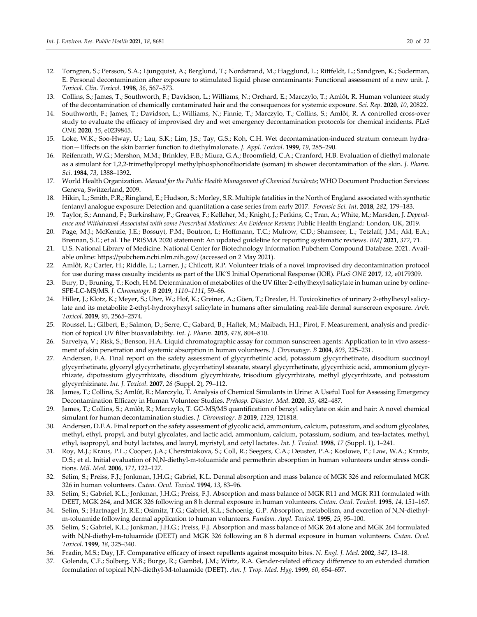- 12. Torngren, S.; Persson, S.A.; Ljungquist, A.; Berglund, T.; Nordstrand, M.; Hagglund, L.; Rittfeldt, L.; Sandgren, K.; Soderman, E. Personal decontamination after exposure to stimulated liquid phase contaminants: Functional assessment of a new unit. *J. Toxicol. Clin. Toxicol*. **1998**, *36*, 567–573.
- 13. Collins, S.; James, T.; Southworth, F.; Davidson, L.; Williams, N.; Orchard, E.; Marczylo, T.; Amlôt, R. Human volunteer study of the decontamination of chemically contaminated hair and the consequences for systemic exposure. *Sci. Rep*. **2020**, *10*, 20822.
- 14. Southworth, F.; James, T.; Davidson, L.; Williams, N.; Finnie, T.; Marczylo, T.; Collins, S.; Amlôt, R. A controlled cross-over study to evaluate the efficacy of improvised dry and wet emergency decontamination protocols for chemical incidents. *PLoS ONE* **2020**, *15*, e0239845.
- 15. Loke, W.K.; Soo-Hway, U.; Lau, S.K.; Lim, J.S.; Tay, G.S.; Koh, C.H. Wet decontamination-induced stratum corneum hydration—Effects on the skin barrier function to diethylmalonate. *J. Appl. Toxicol*. **1999**, *19*, 285–290.
- 16. Reifenrath, W.G.; Mershon, M.M.; Brinkley, F.B.; Miura, G.A.; Broomfield, C.A.; Cranford, H.B. Evaluation of diethyl malonate as a simulant for 1,2,2-trimethylpropyl methylphosphonofluoridate (soman) in shower decontamination of the skin. *J. Pharm. Sci*. **1984**, *73*, 1388–1392.
- 17. World Health Organization. *Manual for the Public Health Management of Chemical Incidents*; WHO Document Production Services: Geneva, Switzerland, 2009.
- 18. Hikin, L.; Smith, P.R.; Ringland, E.; Hudson, S.; Morley, S.R. Multiple fatalities in the North of England associated with synthetic fentanyl analogue exposure: Detection and quantitation a case series from early 2017. *Forensic Sci. Int*. **2018**, *282*, 179–183.
- 19. Taylor, S.; Annand, F.; Burkinshaw, P.; Greaves, F.; Kelleher, M.; Knight, J.; Perkins, C.; Tran, A.; White, M.; Marsden, J. *Dependence and Withdrawal Associated with some Prescribed Medicines: An Evidence Review*; Public Health England: London, UK, 2019.
- 20. Page, M.J.; McKenzie, J.E.; Bossuyt, P.M.; Boutron, I.; Hoffmann, T.C.; Mulrow, C.D.; Shamseer, L.; Tetzlaff, J.M.; Akl, E.A.; Brennan, S.E.; et al. The PRISMA 2020 statement: An updated guideline for reporting systematic reviews. *BMJ* **2021**, *372*, 71.
- 21. U.S. National Library of Medicine. National Center for Biotechnology Information Pubchem Compound Database. 2021. Available online: https://pubchem.ncbi.nlm.nih.gov/ (accessed on 2 May 2021).
- 22. Amlôt, R.; Carter, H.; Riddle, L.; Larner, J.; Chilcott, R.P. Volunteer trials of a novel improvised dry decontamination protocol for use during mass casualty incidents as part of the UK'S Initial Operational Response (IOR). *PLoS ONE* **2017**, *12*, e0179309.
- 23. Bury, D.; Bruning, T.; Koch, H.M. Determination of metabolites of the UV filter 2-ethylhexyl salicylate in human urine by online-SPE-LC-MS/MS. *J. Chromatogr. B* **2019**, *1110–1111*, 59–66.
- 24. Hiller, J.; Klotz, K.; Meyer, S.; Uter, W.; Hof, K.; Greiner, A.; Göen, T.; Drexler, H. Toxicokinetics of urinary 2-ethylhexyl salicylate and its metabolite 2-ethyl-hydroxyhexyl salicylate in humans after simulating real-life dermal sunscreen exposure. *Arch. Toxicol*. **2019**, *93*, 2565–2574.
- 25. Roussel, L.; Gilbert, E.; Salmon, D.; Serre, C.; Gabard, B.; Haftek, M.; Maibach, H.I.; Pirot, F. Measurement, analysis and prediction of topical UV filter bioavailability. *Int. J. Pharm*. **2015**, *478*, 804–810.
- 26. Sarveiya, V.; Risk, S.; Benson, H.A. Liquid chromatographic assay for common sunscreen agents: Application to in vivo assessment of skin penetration and systemic absorption in human volunteers. *J. Chromatogr. B* **2004**, *803*, 225–231.
- 27. Andersen, F.A. Final report on the safety assessment of glycyrrhetinic acid, potassium glycyrrhetinate, disodium succinoyl glycyrrhetinate, glyceryl glycyrrhetinate, glycyrrhetinyl stearate, stearyl glycyrrhetinate, glycyrrhizic acid, ammonium glycyrrhizate, dipotassium glycyrrhizate, disodium glycyrrhizate, trisodium glycyrrhizate, methyl glycyrrhizate, and potassium glycyrrhizinate. *Int. J. Toxicol*. **2007**, *26* (Suppl. 2), 79–112.
- 28. James, T.; Collins, S.; Amlôt, R.; Marczylo, T. Analysis of Chemical Simulants in Urine: A Useful Tool for Assessing Emergency Decontamination Efficacy in Human Volunteer Studies. *Prehosp. Disaster. Med*. **2020**, *35*, 482–487.
- 29. James, T.; Collins, S.; Amlôt, R.; Marczylo, T. GC-MS/MS quantification of benzyl salicylate on skin and hair: A novel chemical simulant for human decontamination studies. *J. Chromatogr. B* **2019**, *1129*, 121818.
- 30. Andersen, D.F.A. Final report on the safety assessment of glycolic acid, ammonium, calcium, potassium, and sodium glycolates, methyl, ethyl, propyl, and butyl glycolates, and lactic acid, ammonium, calcium, potassium, sodium, and tea-lactates, methyl, ethyl, isopropyl, and butyl lactates, and lauryl, myristyl, and cetyl lactates. *Int. J. Toxicol*. **1998**, *17* (Suppl. 1), 1–241.
- 31. Roy, M.J.; Kraus, P.L.; Cooper, J.A.; Cherstniakova, S.; Coll, R.; Seegers, C.A.; Deuster, P.A.; Koslowe, P.; Law, W.A.; Krantz, D.S.; et al. Initial evaluation of N,N-diethyl-m-toluamide and permethrin absorption in human volunteers under stress conditions. *Mil. Med*. **2006**, *171*, 122–127.
- 32. Selim, S.; Preiss, F.J.; Jonkman, J.H.G.; Gabriel, K.L. Dermal absorption and mass balance of MGK 326 and reformulated MGK 326 in human volunteers. *Cutan. Ocul. Toxicol*. **1994**, *13*, 83–96.
- 33. Selim, S.; Gabriel, K.L.; Jonkman, J.H.G.; Preiss, F.J. Absorption and mass balance of MGK R11 and MGK R11 formulated with DEET, MGK 264, and MGK 326 following an 8 h dermal exposure in human volunteers. *Cutan. Ocul. Toxicol*. **1995**, *14*, 151–167.
- 34. Selim, S.; Hartnagel Jr, R.E.; Osimitz, T.G.; Gabriel, K.L.; Schoenig, G.P. Absorption, metabolism, and excretion of N,N-diethylm-toluamide following dermal application to human volunteers. *Fundam. Appl. Toxicol*. **1995**, *25*, 95–100.
- 35. Selim, S.; Gabriel, K.L.; Jonkman, J.H.G.; Preiss, F.J. Absorption and mass balance of MGK 264 alone and MGK 264 formulated with N,N-diethyl-m-toluamide (DEET) and MGK 326 following an 8 h dermal exposure in human volunteers. *Cutan. Ocul. Toxicol*. **1999**, *18*, 325–340.
- 36. Fradin, M.S.; Day, J.F. Comparative efficacy of insect repellents against mosquito bites. *N. Engl. J. Med*. **2002**, *347*, 13–18.
- 37. Golenda, C.F.; Solberg, V.B.; Burge, R.; Gambel, J.M.; Wirtz, R.A. Gender-related efficacy difference to an extended duration formulation of topical N,N-diethyl-M-toluamide (DEET). *Am. J. Trop. Med. Hyg*. **1999**, *60*, 654–657.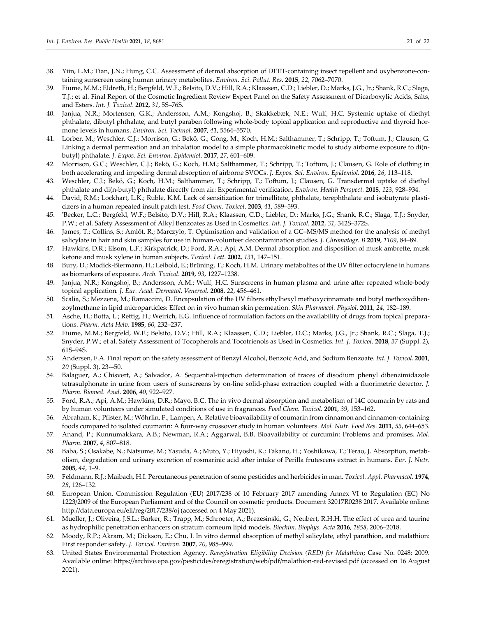- 38. Yiin, L.M.; Tian, J.N.; Hung, C.C. Assessment of dermal absorption of DEET-containing insect repellent and oxybenzone-containing sunscreen using human urinary metabolites. *Environ. Sci. Pollut. Res*. **2015**, *22*, 7062–7070.
- 39. Fiume, M.M.; Eldreth, H.; Bergfeld, W.F.; Belsito, D.V.; Hill, R.A.; Klaassen, C.D.; Liebler, D.; Marks, J.G., Jr.; Shank, R.C.; Slaga, T.J.; et al. Final Report of the Cosmetic Ingredient Review Expert Panel on the Safety Assessment of Dicarboxylic Acids, Salts, and Esters. *Int. J. Toxicol*. **2012**, *31*, 5S–76S.
- 40. Janjua, N.R.; Mortensen, G.K.; Andersson, A.M.; Kongshoj, B.; Skakkebæk, N.E.; Wulf, H.C. Systemic uptake of diethyl phthalate, dibutyl phthalate, and butyl paraben following whole-body topical application and reproductive and thyroid hormone levels in humans. *Environ. Sci. Technol*. **2007**, *41*, 5564–5570.
- 41. Lorber, M.; Weschler, C.J.; Morrison, G.; Bekö, G.; Gong, M.; Koch, H.M.; Salthammer, T.; Schripp, T.; Toftum, J.; Clausen, G. Linking a dermal permeation and an inhalation model to a simple pharmacokinetic model to study airborne exposure to di(nbutyl) phthalate. *J. Expos. Sci. Environ. Epidemiol*. **2017**, *27*, 601–609.
- 42. Morrison, G.C.; Weschler, C.J.; Bekö, G.; Koch, H.M.; Salthammer, T.; Schripp, T.; Toftum, J.; Clausen, G. Role of clothing in both accelerating and impeding dermal absorption of airborne SVOCs. *J. Expos. Sci. Environ. Epidemiol.* **2016**, *26*, 113–118.
- 43. Weschler, C.J.; Bekö, G.; Koch, H.M.; Salthammer, T.; Schripp, T.; Toftum, J.; Clausen, G. Transdermal uptake of diethyl phthalate and di(n-butyl) phthalate directly from air: Experimental verification*. Environ. Health Perspect.* **2015**, *123*, 928–934.
- 44. David, R.M.; Lockhart, L.K.; Ruble, K.M. Lack of sensitization for trimellitate, phthalate, terephthalate and isobutyrate plasticizers in a human repeated insult patch test. *Food Chem. Toxicol*. **2003**, *41*, 589–593.
- 45. 'Becker, L.C.; Bergfeld, W.F.; Belsito, D.V.; Hill, R.A.; Klaassen, C.D.; Liebler, D.; Marks, J.G.; Shank, R.C.; Slaga, T.J.; Snyder, P.W.; et al. Safety Assessment of Alkyl Benzoates as Used in Cosmetics. *Int. J. Toxicol*. **2012**, *31*, 342S–372S.
- 46. James, T.; Collins, S.; Amlôt, R.; Marczylo, T. Optimisation and validation of a GC–MS/MS method for the analysis of methyl salicylate in hair and skin samples for use in human-volunteer decontamination studies*. J. Chromatogr. B* **2019**, *1109*, 84–89.
- 47. Hawkins, D.R.; Elsom, L.F.; Kirkpatrick, D.; Ford, R.A.; Api, A.M. Dermal absorption and disposition of musk ambrette, musk ketone and musk xylene in human subjects. *Toxicol. Lett*. **2002**, *131*, 147–151.
- 48. Bury, D.; Modick-Biermann, H.; Leibold, E.; Brüning, T.; Koch, H.M. Urinary metabolites of the UV filter octocrylene in humans as biomarkers of exposure. *Arch. Toxicol*. **2019**, *93*, 1227–1238.
- 49. Janjua, N.R.; Kongshoj, B.; Andersson, A.M.; Wulf, H.C. Sunscreens in human plasma and urine after repeated whole-body topical application*. J. Eur. Acad. Dermatol*. *Venereol.* **2008**, *22*, 456–461.
- 50. Scalia, S.; Mezzena, M.; Ramaccini, D. Encapsulation of the UV filters ethylhexyl methoxycinnamate and butyl methoxydibenzoylmethane in lipid microparticles: Effect on in vivo human skin permeation. *Skin Pharmacol. Physiol*. **2011**, *24*, 182–189.
- 51. Asche, H.; Botta, L.; Rettig, H.; Weirich, E.G. Influence of formulation factors on the availability of drugs from topical preparations. *Pharm. Acta Helv*. **1985**, *60*, 232–237.
- 52. Fiume, M.M.; Bergfeld, W.F.; Belsito, D.V.; Hill, R.A.; Klaassen, C.D.; Liebler, D.C.; Marks, J.G., Jr.; Shank, R.C.; Slaga, T.J.; Snyder, P.W.; et al. Safety Assessment of Tocopherols and Tocotrienols as Used in Cosmetics. *Int. J. Toxicol*. **2018**, *37* (Suppl. 2), 61S–94S.
- 53. Andersen, F.A. Final report on the safety assessment of Benzyl Alcohol, Benzoic Acid, and Sodium Benzoate. *Int. J. Toxicol*. **2001**, *20* (Suppl. 3), 23-–50.
- 54. Balaguer, A.; Chisvert, A.; Salvador, A. Sequential-injection determination of traces of disodium phenyl dibenzimidazole tetrasulphonate in urine from users of sunscreens by on-line solid-phase extraction coupled with a fluorimetric detector. *J. Pharm. Biomed. Anal*. **2006**, *40*, 922–927.
- 55. Ford, R.A.; Api, A.M.; Hawkins, D.R.; Mayo, B.C. The in vivo dermal absorption and metabolism of 14C coumarin by rats and by human volunteers under simulated conditions of use in fragrances. *Food Chem. Toxicol*. **2001**, *39*, 153–162.
- 56. Abraham, K.; Pfister, M.; Wöhrlin, F.; Lampen, A. Relative bioavailability of coumarin from cinnamon and cinnamon-containing foods compared to isolated coumarin: A four-way crossover study in human volunteers. *Mol. Nutr. Food Res*. **2011**, *55*, 644–653.
- 57. Anand, P.; Kunnumakkara, A.B.; Newman, R.A.; Aggarwal, B.B. Bioavailability of curcumin: Problems and promises. *Mol. Pharm*. **2007**, *4*, 807–818.
- 58. Baba, S.; Osakabe, N.; Natsume, M.; Yasuda, A.; Muto, Y.; Hiyoshi, K.; Takano, H.; Yoshikawa, T.; Terao, J. Absorption, metabolism, degradation and urinary excretion of rosmarinic acid after intake of Perilla frutescens extract in humans. *Eur. J. Nutr*. **2005**, *44*, 1–9.
- 59. Feldmann, R.J.; Maibach, H.I. Percutaneous penetration of some pesticides and herbicides in man. *Toxicol. Appl. Pharmacol*. **1974**, *28*, 126–132.
- 60. European Union. Commission Regulation (EU) 2017/238 of 10 February 2017 amending Annex VI to Regulation (EC) No 1223/2009 of the European Parliament and of the Council on cosmetic products. Document 32017R0238 2017. Available online: http://data.europa.eu/eli/reg/2017/238/oj (accessed on 4 May 2021).
- 61. Mueller, J.; Oliveira, J.S.L.; Barker, R.; Trapp, M.; Schroeter, A.; Brezesinski, G.; Neubert, R.H.H. The effect of urea and taurine as hydrophilic penetration enhancers on stratum corneum lipid models. *Biochim. Biophys. Acta* **2016**, *1858*, 2006–2018.
- 62. Moody, R.P.; Akram, M.; Dickson, E.; Chu, I. In vitro dermal absorption of methyl salicylate, ethyl parathion, and malathion: First responder safety. *J. Toxicol. Environ*. **2007**, *70*, 985–999.
- 63. United States Environmental Protection Agency. *Reregistration Eligibility Decision (RED) for Malathion*; Case No. 0248; 2009. Available online: https://archive.epa.gov/pesticides/reregistration/web/pdf/malathion-red-revised.pdf (accessed on 16 August 2021).